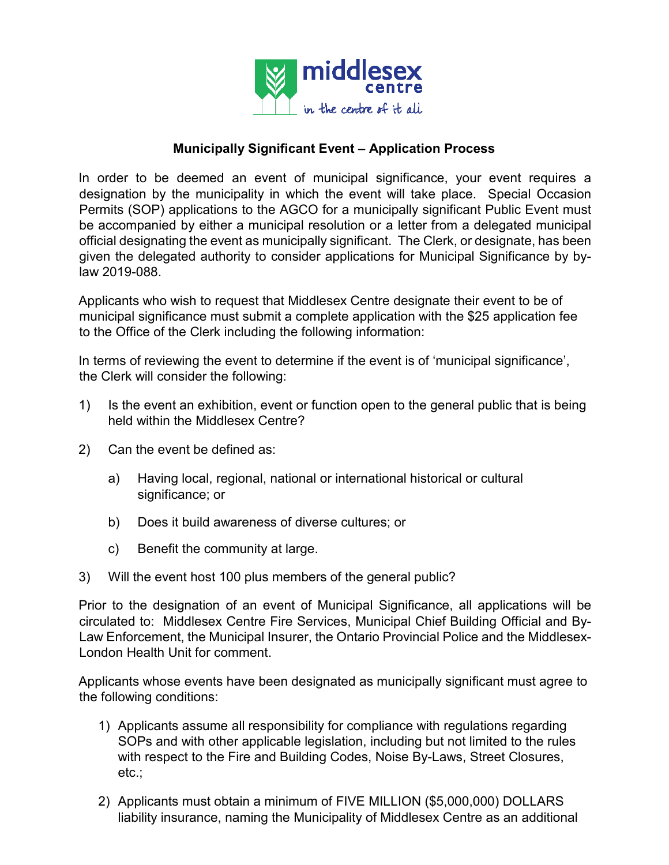

# **Municipally Significant Event – Application Process**

In order to be deemed an event of municipal significance, your event requires a designation by the municipality in which the event will take place. Special Occasion Permits (SOP) applications to the AGCO for a municipally significant Public Event must be accompanied by either a municipal resolution or a letter from a delegated municipal official designating the event as municipally significant.The Clerk, or designate, has been given the delegated authority to consider applications for Municipal Significance by bylaw 2019-088.

Applicants who wish to request that Middlesex Centre designate their event to be of municipal significance must submit a complete application with the \$25 application fee to the Office of the Clerk including the following information:

In terms of reviewing the event to determine if the event is of 'municipal significance', the Clerk will consider the following:

- 1) Is the event an exhibition, event or function open to the general public that is being held within the Middlesex Centre?
- 2) Can the event be defined as:
	- a) Having local, regional, national or international historical or cultural significance; or
	- b) Does it build awareness of diverse cultures; or
	- c) Benefit the community at large.
- 3) Will the event host 100 plus members of the general public?

Prior to the designation of an event of Municipal Significance, all applications will be circulated to: Middlesex Centre Fire Services, Municipal Chief Building Official and By-Law Enforcement, the Municipal Insurer, the Ontario Provincial Police and the Middlesex-London Health Unit for comment.

Applicants whose events have been designated as municipally significant must agree to the following conditions:

- 1) Applicants assume all responsibility for compliance with regulations regarding SOPs and with other applicable legislation, including but not limited to the rules with respect to the Fire and Building Codes, Noise By-Laws, Street Closures, etc.;
- 2) Applicants must obtain a minimum of FIVE MILLION (\$5,000,000) DOLLARS liability insurance, naming the Municipality of Middlesex Centre as an additional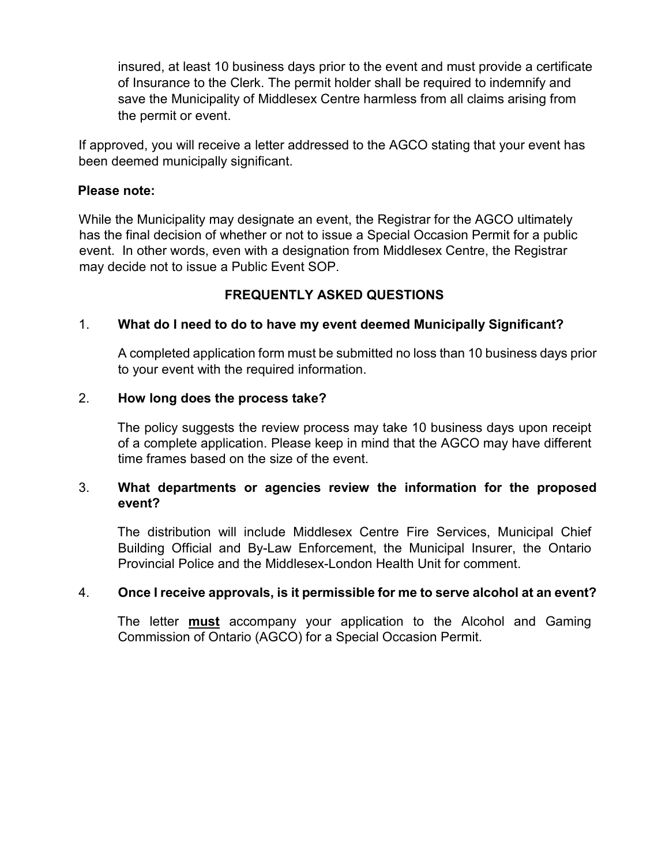insured, at least 10 business days prior to the event and must provide a certificate of Insurance to the Clerk. The permit holder shall be required to indemnify and save the Municipality of Middlesex Centre harmless from all claims arising from the permit or event.

If approved, you will receive a letter addressed to the AGCO stating that your event has been deemed municipally significant.

#### **Please note:**

While the Municipality may designate an event, the Registrar for the AGCO ultimately has the final decision of whether or not to issue a Special Occasion Permit for a public event. In other words, even with a designation from Middlesex Centre, the Registrar may decide not to issue a Public Event SOP.

## **FREQUENTLY ASKED QUESTIONS**

## 1. **What do I need to do to have my event deemed Municipally Significant?**

A completed application form must be submitted no loss than 10 business days prior to your event with the required information.

### 2. **How long does the process take?**

The policy suggests the review process may take 10 business days upon receipt of a complete application. Please keep in mind that the AGCO may have different time frames based on the size of the event.

## 3. **What departments or agencies review the information for the proposed event?**

The distribution will include Middlesex Centre Fire Services, Municipal Chief Building Official and By-Law Enforcement, the Municipal Insurer, the Ontario Provincial Police and the Middlesex-London Health Unit for comment.

#### 4. **Once I receive approvals, is it permissible for me to serve alcohol at an event?**

The letter **must** accompany your application to the Alcohol and Gaming Commission of Ontario (AGCO) for a Special Occasion Permit.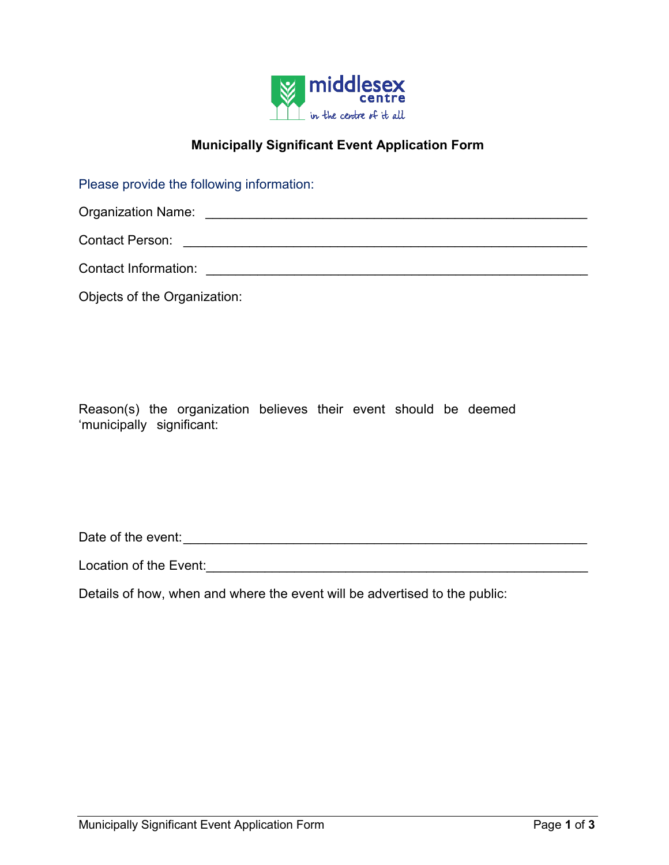

# **Municipally Significant Event Application Form**

Please provide the following information:

Organization Name: \_\_\_\_\_\_\_\_\_\_\_\_\_\_\_\_\_\_\_\_\_\_\_\_\_\_\_\_\_\_\_\_\_\_\_\_\_\_\_\_\_\_\_\_\_\_\_\_\_\_\_\_

Contact Person: \_\_\_\_\_\_\_\_\_\_\_\_\_\_\_\_\_\_\_\_\_\_\_\_\_\_\_\_\_\_\_\_\_\_\_\_\_\_\_\_\_\_\_\_\_\_\_\_\_\_\_\_\_\_\_

Contact Information: \_\_\_\_\_\_\_\_\_\_\_\_\_\_\_\_\_\_\_\_\_\_\_\_\_\_\_\_\_\_\_\_\_\_\_\_\_\_\_\_\_\_\_\_\_\_\_\_\_\_\_\_

Objects of the Organization:

Reason(s) the organization believes their event should be deemed 'municipally significant:

Date of the event: **Example 20** and  $\alpha$  and  $\alpha$  and  $\alpha$  and  $\alpha$  and  $\alpha$  and  $\alpha$  and  $\alpha$  and  $\alpha$  and  $\alpha$  and  $\alpha$  and  $\alpha$  and  $\alpha$  and  $\alpha$  and  $\alpha$  and  $\alpha$  and  $\alpha$  and  $\alpha$  and  $\alpha$  and  $\alpha$  and  $\alpha$  and  $\alpha$  a

Location of the Event:\_\_\_\_\_\_\_\_\_\_\_\_\_\_\_\_\_\_\_\_\_\_\_\_\_\_\_\_\_\_\_\_\_\_\_\_\_\_\_\_\_\_\_\_\_\_\_\_\_\_\_\_

Details of how, when and where the event will be advertised to the public: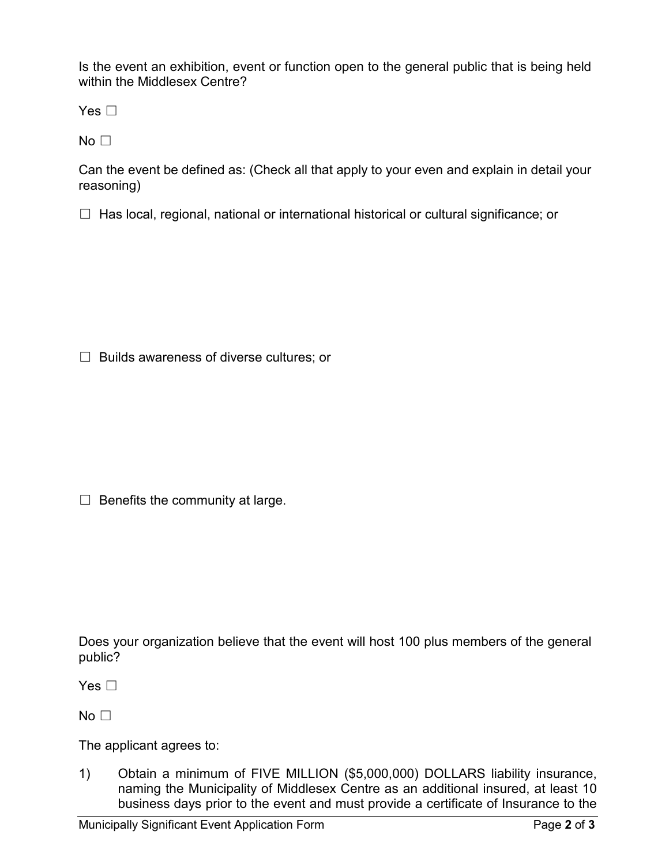Is the event an exhibition, event or function open to the general public that is being held within the Middlesex Centre?

Yes  $\Box$ 

 $No<sub>1</sub>$ 

Can the event be defined as: (Check all that apply to your even and explain in detail your reasoning)

☐ Has local, regional, national or international historical or cultural significance; or

☐ Builds awareness of diverse cultures; or

 $\Box$  Benefits the community at large.

Does your organization believe that the event will host 100 plus members of the general public?

Yes □

 $No<sub>1</sub>$ 

The applicant agrees to:

1) Obtain a minimum of FIVE MILLION (\$5,000,000) DOLLARS liability insurance, naming the Municipality of Middlesex Centre as an additional insured, at least 10 business days prior to the event and must provide a certificate of Insurance to the